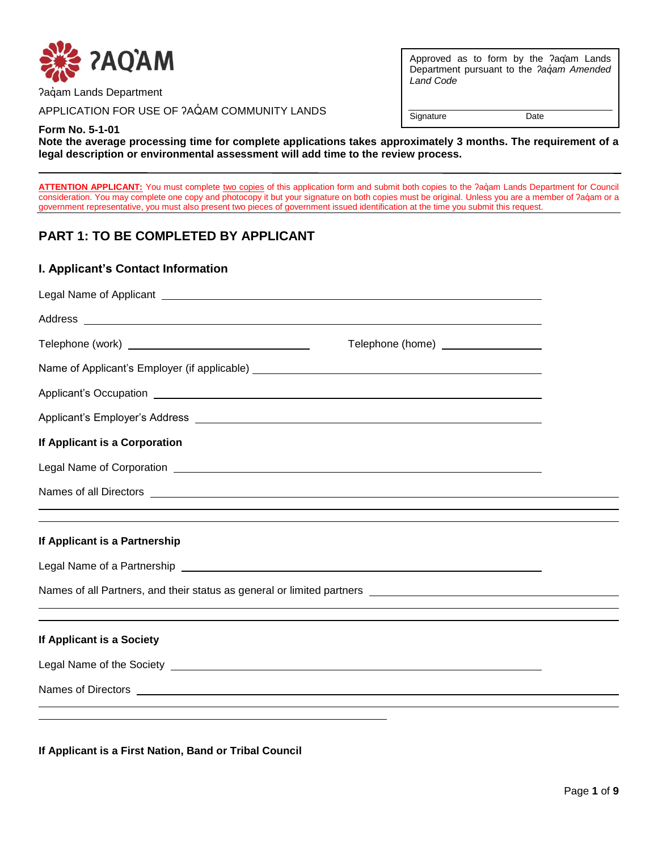

Paqam Lands Department

APPLICATION FOR USE OF ?AQAM COMMUNITY LANDS

Approved as to form by the ʔaq̓am Lands Department pursuant to the *ʔaq̓am Amended Land Code*

Signature Date

**Form No. 5-1-01**

**Note the average processing time for complete applications takes approximately 3 months. The requirement of a legal description or environmental assessment will add time to the review process.** 

ATTENTION APPLICANT: You must complete two copies of this application form and submit both copies to the ?aquam Lands Department for Council consideration. You may complete one copy and photocopy it but your signature on both copies must be original. Unless you are a member of ?aqam or a government representative, you must also present two pieces of government issued identification at the time you submit this request.

# **PART 1: TO BE COMPLETED BY APPLICANT**

#### **I. Applicant's Contact Information**

| Legal Name of Applicant Legal Name of Applicant Legal Name of Applicant Legal Name of Applicant Legal Name of Applicant Legal Applicant Legal Applicant Legal Applicant Legal Applicant Legal Applicant Legal Applicant Legal        |                                                                                  |  |
|--------------------------------------------------------------------------------------------------------------------------------------------------------------------------------------------------------------------------------------|----------------------------------------------------------------------------------|--|
|                                                                                                                                                                                                                                      |                                                                                  |  |
|                                                                                                                                                                                                                                      | Telephone (home) _________________                                               |  |
|                                                                                                                                                                                                                                      |                                                                                  |  |
| Applicant's Occupation <b>contract and contract to the contract of the contract of the contract of the contract of the contract of the contract of the contract of the contract of the contract of the contract of the contract </b> |                                                                                  |  |
|                                                                                                                                                                                                                                      |                                                                                  |  |
| If Applicant is a Corporation                                                                                                                                                                                                        |                                                                                  |  |
| Legal Name of Corporation <b>example 2006</b> and 2007 and 2008 and 2008 and 2008 and 2008 and 2008 and 2008 and 2008 and 2008 and 2008 and 2008 and 2008 and 2008 and 2008 and 2008 and 2008 and 2008 and 2008 and 2008 and 2008 a  |                                                                                  |  |
|                                                                                                                                                                                                                                      |                                                                                  |  |
| If Applicant is a Partnership                                                                                                                                                                                                        | ,我们也不会有什么?""我们的人,我们也不会有什么?""我们的人,我们也不会有什么?""我们的人,我们也不会有什么?""我们的人,我们也不会有什么?""我们的人 |  |
| Legal Name of a Partnership Legal and the control of the control of the control of the control of the control of the control of the control of the control of the control of the control of the control of the control of the        |                                                                                  |  |
|                                                                                                                                                                                                                                      |                                                                                  |  |
|                                                                                                                                                                                                                                      | ,我们也不会有什么?""我们的人,我们也不会有什么?""我们的人,我们也不会有什么?""我们的人,我们也不会有什么?""我们的人,我们也不会有什么?""我们的人 |  |
| If Applicant is a Society                                                                                                                                                                                                            |                                                                                  |  |
| Legal Name of the Society <b>contract of the Society</b> and the set of the Society and the set of the Society and the set of the set of the set of the set of the set of the set of the set of the set of the set of the set of th  |                                                                                  |  |
| Names of Directors <b>contract and the contract of the contract of the contract of Directors</b>                                                                                                                                     |                                                                                  |  |
|                                                                                                                                                                                                                                      |                                                                                  |  |

**If Applicant is a First Nation, Band or Tribal Council**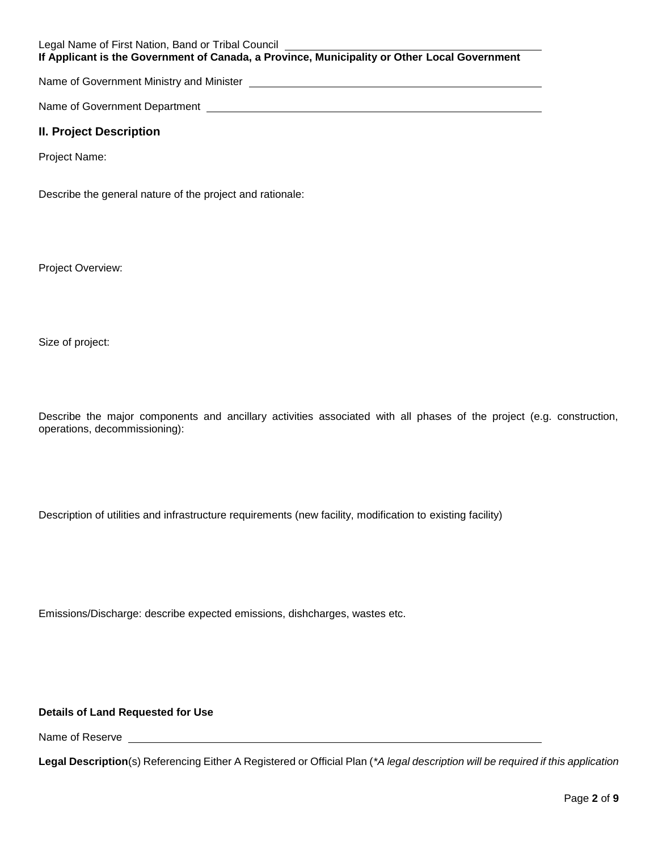Legal Name of First Nation, Band or Tribal Council **If Applicant is the Government of Canada, a Province, Municipality or Other Local Government**

Name of Government Ministry and Minister [*Communical content of Government Ministry and Minister* 

Name of Government Department Letter Controller and the United States of Government Controller

### **II. Project Description**

Project Name:

Describe the general nature of the project and rationale:

Project Overview:

Size of project:

Describe the major components and ancillary activities associated with all phases of the project (e.g. construction, operations, decommissioning):

Description of utilities and infrastructure requirements (new facility, modification to existing facility)

Emissions/Discharge: describe expected emissions, dishcharges, wastes etc.

### **Details of Land Requested for Use**

Name of Reserve \_\_\_\_\_\_\_

**Legal Description**(s) Referencing Either A Registered or Official Plan (*\*A legal description will be required if this application*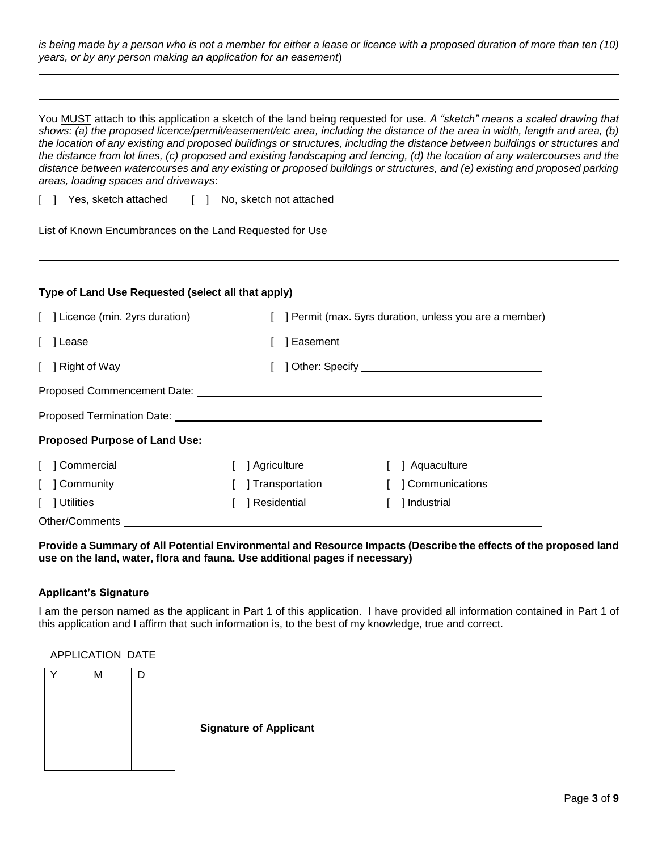*is being made by a person who is not a member for either a lease or licence with a proposed duration of more than ten (10) years, or by any person making an application for an easement*)

You MUST attach to this application a sketch of the land being requested for use. *A "sketch" means a scaled drawing that shows: (a) the proposed licence/permit/easement/etc area, including the distance of the area in width, length and area, (b) the location of any existing and proposed buildings or structures, including the distance between buildings or structures and the distance from lot lines, (c) proposed and existing landscaping and fencing, (d) the location of any watercourses and the distance between watercourses and any existing or proposed buildings or structures, and (e) existing and proposed parking areas, loading spaces and driveways*:

[ ] Yes, sketch attached [ ] No, sketch not attached

List of Known Encumbrances on the Land Requested for Use

| Type of Land Use Requested (select all that apply)                                         |                  |                       |  |  |
|--------------------------------------------------------------------------------------------|------------------|-----------------------|--|--|
| [ ] Licence (min. 2yrs duration)<br>] Permit (max. 5yrs duration, unless you are a member) |                  |                       |  |  |
| [ ] Lease                                                                                  | Easement         |                       |  |  |
| [ ] Right of Way                                                                           |                  |                       |  |  |
|                                                                                            |                  |                       |  |  |
|                                                                                            |                  |                       |  |  |
| <b>Proposed Purpose of Land Use:</b>                                                       |                  |                       |  |  |
| [ ] Commercial                                                                             | Agriculture      | Aquaculture           |  |  |
| [ ] Community                                                                              | ] Transportation | <b>Communications</b> |  |  |
| [ ] Utilities                                                                              | Residential      | ] Industrial          |  |  |
| Other/Comments                                                                             |                  |                       |  |  |

**Provide a Summary of All Potential Environmental and Resource Impacts (Describe the effects of the proposed land use on the land, water, flora and fauna. Use additional pages if necessary)**

#### **Applicant's Signature**

I am the person named as the applicant in Part 1 of this application. I have provided all information contained in Part 1 of this application and I affirm that such information is, to the best of my knowledge, true and correct.

#### APPLICATION DATE

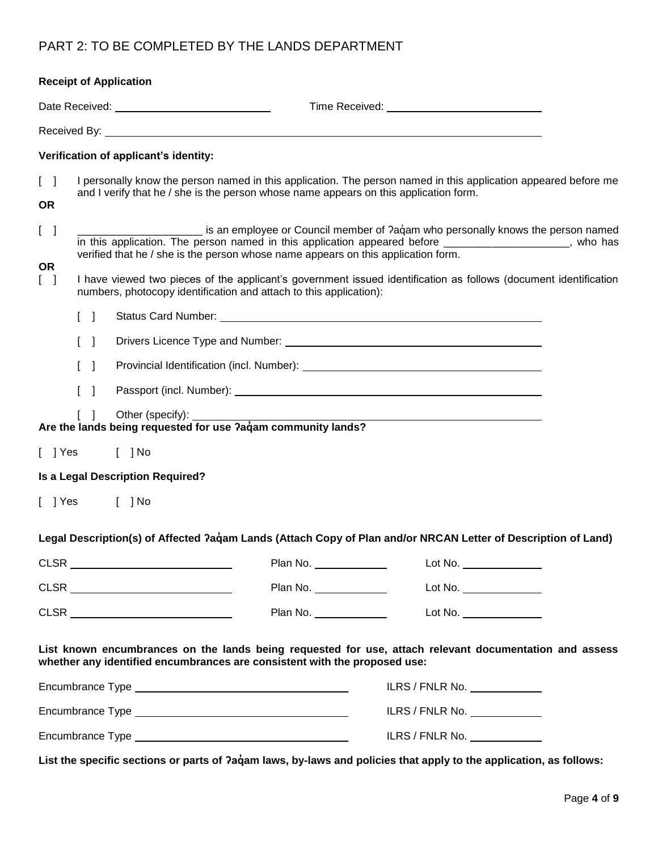# PART 2: TO BE COMPLETED BY THE LANDS DEPARTMENT

|                                                | <b>Receipt of Application</b>                                                                                                                                                                                                        |                                                                                                                                                                                                                                                                                 |  |  |  |  |
|------------------------------------------------|--------------------------------------------------------------------------------------------------------------------------------------------------------------------------------------------------------------------------------------|---------------------------------------------------------------------------------------------------------------------------------------------------------------------------------------------------------------------------------------------------------------------------------|--|--|--|--|
|                                                | Date Received: <u>contract and contract and contract of</u>                                                                                                                                                                          |                                                                                                                                                                                                                                                                                 |  |  |  |  |
|                                                | Received By: <u>example and the set of the set of the set of the set of the set of the set of the set of the set of the set of the set of the set of the set of the set of the set of the set of the set of the set of the set o</u> |                                                                                                                                                                                                                                                                                 |  |  |  |  |
|                                                | Verification of applicant's identity:                                                                                                                                                                                                |                                                                                                                                                                                                                                                                                 |  |  |  |  |
| $\begin{bmatrix} 1 \end{bmatrix}$<br><b>OR</b> | and I verify that he / she is the person whose name appears on this application form.                                                                                                                                                | I personally know the person named in this application. The person named in this application appeared before me                                                                                                                                                                 |  |  |  |  |
| $\begin{bmatrix} 1 \end{bmatrix}$              |                                                                                                                                                                                                                                      | is an employee or Council member of ?aqam who personally knows the person named<br>in this application. The person named in this application appeared before ____________________, who has<br>verified that he / she is the person whose name appears on this application form. |  |  |  |  |
| <b>OR</b><br>$\begin{bmatrix} \end{bmatrix}$   | numbers, photocopy identification and attach to this application):                                                                                                                                                                   | I have viewed two pieces of the applicant's government issued identification as follows (document identification                                                                                                                                                                |  |  |  |  |
|                                                | $\begin{bmatrix} 1 \end{bmatrix}$                                                                                                                                                                                                    |                                                                                                                                                                                                                                                                                 |  |  |  |  |
|                                                | $\begin{bmatrix} 1 \end{bmatrix}$                                                                                                                                                                                                    |                                                                                                                                                                                                                                                                                 |  |  |  |  |
|                                                | $\begin{bmatrix} 1 \end{bmatrix}$                                                                                                                                                                                                    |                                                                                                                                                                                                                                                                                 |  |  |  |  |
|                                                | $\begin{bmatrix} 1 \end{bmatrix}$                                                                                                                                                                                                    |                                                                                                                                                                                                                                                                                 |  |  |  |  |
|                                                | Other (specify):<br>$\begin{bmatrix} 1 \end{bmatrix}$<br>Are the lands being requested for use ?aqam community lands?                                                                                                                |                                                                                                                                                                                                                                                                                 |  |  |  |  |
|                                                | [ ] Yes<br>$[$ ] No                                                                                                                                                                                                                  |                                                                                                                                                                                                                                                                                 |  |  |  |  |
|                                                | Is a Legal Description Required?                                                                                                                                                                                                     |                                                                                                                                                                                                                                                                                 |  |  |  |  |
| $[$ ] Yes                                      | $[$ ] No                                                                                                                                                                                                                             |                                                                                                                                                                                                                                                                                 |  |  |  |  |
|                                                |                                                                                                                                                                                                                                      | Legal Description(s) of Affected ?aqam Lands (Attach Copy of Plan and/or NRCAN Letter of Description of Land)                                                                                                                                                                   |  |  |  |  |
|                                                |                                                                                                                                                                                                                                      | Plan No. ____________<br>Lot No. ________________                                                                                                                                                                                                                               |  |  |  |  |
|                                                |                                                                                                                                                                                                                                      | Plan No. _____________<br>Lot No. ________________                                                                                                                                                                                                                              |  |  |  |  |
|                                                | CLSR ___________________________                                                                                                                                                                                                     | Plan No.<br>Lot No. $\_\_$                                                                                                                                                                                                                                                      |  |  |  |  |
|                                                | whether any identified encumbrances are consistent with the proposed use:                                                                                                                                                            | List known encumbrances on the lands being requested for use, attach relevant documentation and assess                                                                                                                                                                          |  |  |  |  |
|                                                |                                                                                                                                                                                                                                      | ILRS / FNLR No. <u>______________</u>                                                                                                                                                                                                                                           |  |  |  |  |
|                                                |                                                                                                                                                                                                                                      | ILRS / FNLR No.                                                                                                                                                                                                                                                                 |  |  |  |  |
|                                                |                                                                                                                                                                                                                                      | ILRS / FNLR No.                                                                                                                                                                                                                                                                 |  |  |  |  |
|                                                |                                                                                                                                                                                                                                      | List the specific sections or parts of ?agam laws, by-laws and policies that apply to the application, as follows:                                                                                                                                                              |  |  |  |  |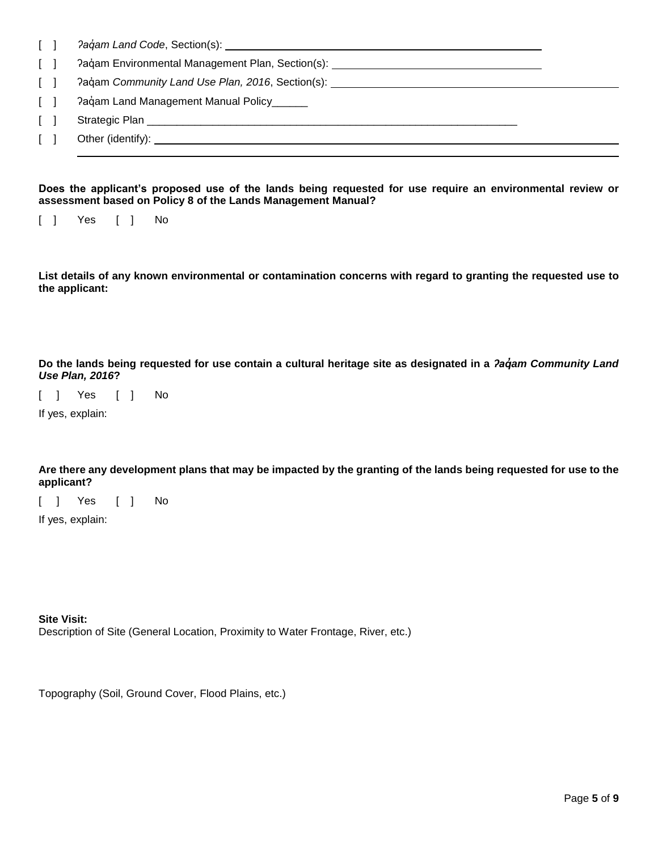| $\Box$ |                                                                                   |
|--------|-----------------------------------------------------------------------------------|
| $\Box$ | Paqam Environmental Management Plan, Section(s): ________________________________ |
| $\Box$ | Pagam Community Land Use Plan, 2016, Section(s):                                  |
| $\Box$ | Pagam Land Management Manual Policy                                               |
| $\Box$ | Strategic Plan                                                                    |
|        | Other (identify): <u>______________</u>                                           |
|        |                                                                                   |

#### **Does the applicant's proposed use of the lands being requested for use require an environmental review or assessment based on Policy 8 of the Lands Management Manual?**

[ ] Yes [ ] No

**List details of any known environmental or contamination concerns with regard to granting the requested use to the applicant:**

**Do the lands being requested for use contain a cultural heritage site as designated in a** *ʔaq̓am Community Land Use Plan, 2016***?**

[ ] Yes [ ] No

If yes, explain:

**Are there any development plans that may be impacted by the granting of the lands being requested for use to the applicant?**

[ ] Yes [ ] No

If yes, explain:

**Site Visit:**

Description of Site (General Location, Proximity to Water Frontage, River, etc.)

Topography (Soil, Ground Cover, Flood Plains, etc.)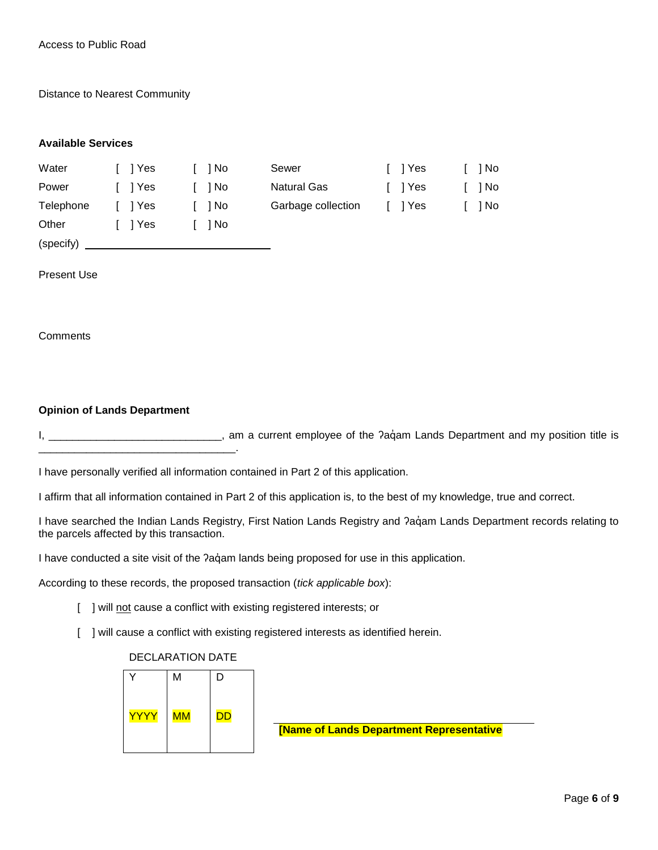Distance to Nearest Community

#### **Available Services**

(specify)

| Water     | I I Yes | - 1 No | Sewer              | I I Yes | 1 No |
|-----------|---------|--------|--------------------|---------|------|
| Power     | I I Yes | 1 No   | Natural Gas        | I I Yes | 1 No |
| Telephone | l Yes   | 1 No   | Garbage collection | I I Yes | 1 No |
| Other     | I IYes  | 1 No   |                    |         |      |

Present Use

**Comments** 

#### **Opinion of Lands Department**

\_\_\_\_\_\_\_\_\_\_\_\_\_\_\_\_\_\_\_\_\_\_\_\_\_\_\_\_\_\_\_\_\_.

I, \_\_\_\_\_\_\_\_\_\_\_\_\_\_\_\_\_\_\_\_\_\_\_\_\_\_\_\_\_\_, am a current employee of the ?aquam Lands Department and my position title is

I have personally verified all information contained in Part 2 of this application.

I affirm that all information contained in Part 2 of this application is, to the best of my knowledge, true and correct.

I have searched the Indian Lands Registry, First Nation Lands Registry and ?agam Lands Department records relating to the parcels affected by this transaction.

I have conducted a site visit of the ?aq̓ am lands being proposed for use in this application.

According to these records, the proposed transaction (*tick applicable box*):

- [ ] will not cause a conflict with existing registered interests; or
- [ ] will cause a conflict with existing registered interests as identified herein.

#### DECLARATION DATE

|             | M                        | D         |
|-------------|--------------------------|-----------|
| <u>YYYY</u> | $\overline{\mathsf{MM}}$ | <b>DD</b> |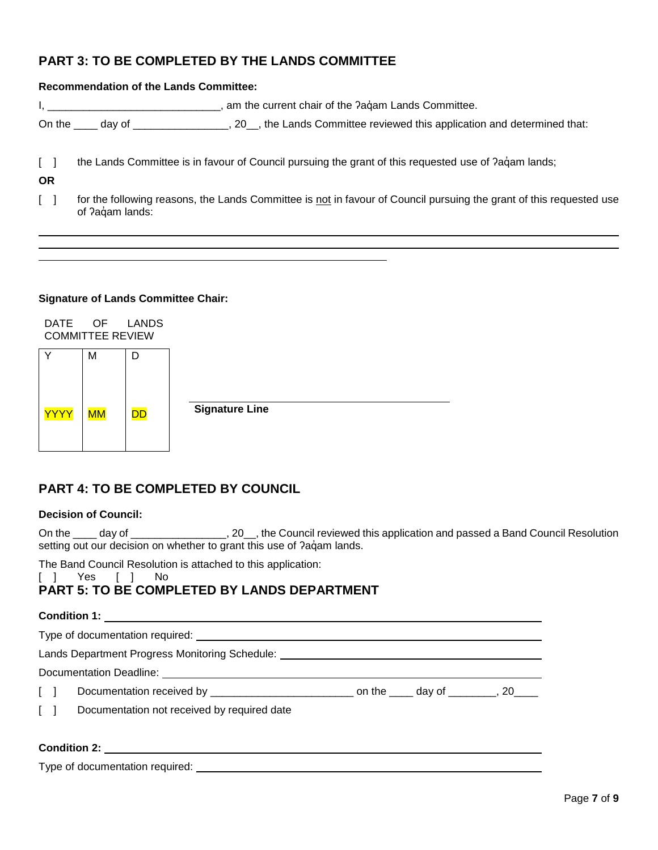# **PART 3: TO BE COMPLETED BY THE LANDS COMMITTEE**

#### **Recommendation of the Lands Committee:**

I, \_\_\_\_\_\_\_\_\_\_\_\_\_\_\_\_\_\_\_\_\_\_\_\_\_\_\_\_\_\_\_, am the current chair of the ?aquam Lands Committee.

On the \_\_\_\_ day of \_\_\_\_\_\_\_\_\_\_\_\_\_\_\_, 20\_\_, the Lands Committee reviewed this application and determined that:

[ ] the Lands Committee is in favour of Council pursuing the grant of this requested use of ?aq̊am lands;

**OR**

[ ] for the following reasons, the Lands Committee is not in favour of Council pursuing the grant of this requested use of ?aqam lands:

#### **Signature of Lands Committee Chair:**

DATE OF LANDS COMMITTEE REVIEW



# **PART 4: TO BE COMPLETED BY COUNCIL**

### **Decision of Council:**

On the \_\_\_\_ day of \_\_\_\_\_\_\_\_\_\_\_\_\_\_\_, 20\_\_, the Council reviewed this application and passed a Band Council Resolution setting out our decision on whether to grant this use of ?aqam lands.

The Band Council Resolution is attached to this application:

[ ] Yes [ ] No

# **PART 5: TO BE COMPLETED BY LANDS DEPARTMENT**

#### **Condition 1:**

|                     | Lands Department Progress Monitoring Schedule:  |  |  |
|---------------------|-------------------------------------------------|--|--|
|                     |                                                 |  |  |
|                     |                                                 |  |  |
|                     | [ ] Documentation not received by required date |  |  |
| <b>Condition 2:</b> |                                                 |  |  |

Type of documentation required: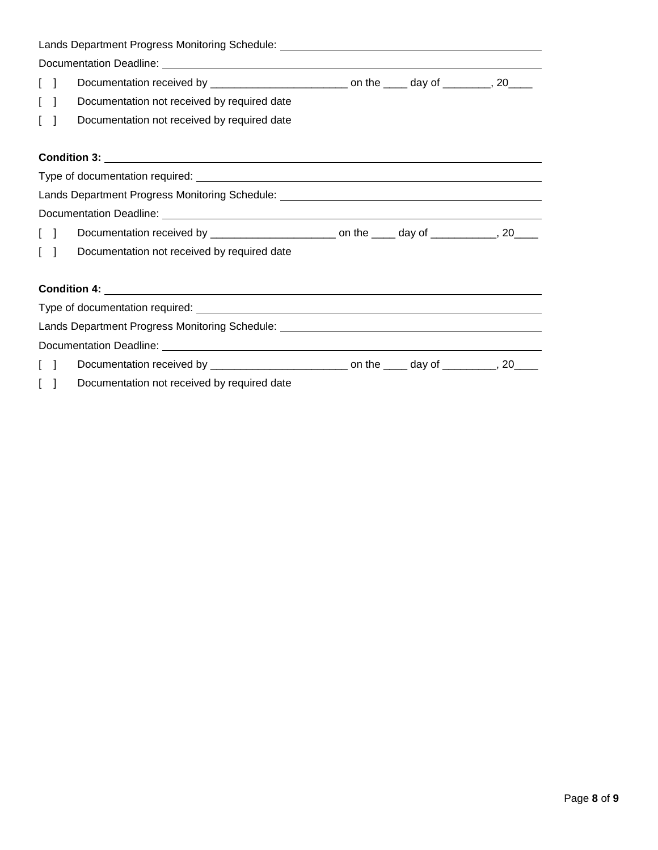|                                   | Lands Department Progress Monitoring Schedule: _________________________________                    |  |  |  |  |
|-----------------------------------|-----------------------------------------------------------------------------------------------------|--|--|--|--|
|                                   |                                                                                                     |  |  |  |  |
| $\begin{bmatrix} 1 \end{bmatrix}$ | Documentation received by ______________________________ on the _____ day of _________, 20_____     |  |  |  |  |
| $\begin{bmatrix} \end{bmatrix}$   | Documentation not received by required date                                                         |  |  |  |  |
| $\begin{bmatrix} 1 \end{bmatrix}$ | Documentation not received by required date                                                         |  |  |  |  |
|                                   |                                                                                                     |  |  |  |  |
|                                   |                                                                                                     |  |  |  |  |
|                                   |                                                                                                     |  |  |  |  |
|                                   | Lands Department Progress Monitoring Schedule: _________________________________                    |  |  |  |  |
|                                   |                                                                                                     |  |  |  |  |
| $\Box$                            |                                                                                                     |  |  |  |  |
| $\begin{bmatrix} \end{bmatrix}$   | Documentation not received by required date                                                         |  |  |  |  |
|                                   |                                                                                                     |  |  |  |  |
|                                   |                                                                                                     |  |  |  |  |
|                                   |                                                                                                     |  |  |  |  |
|                                   | Lands Department Progress Monitoring Schedule: _________________________________                    |  |  |  |  |
|                                   |                                                                                                     |  |  |  |  |
| $\Box$                            | Documentation received by ________________________________ on the ______ day of __________, 20_____ |  |  |  |  |
| $\lceil$                          | Documentation not received by required date                                                         |  |  |  |  |